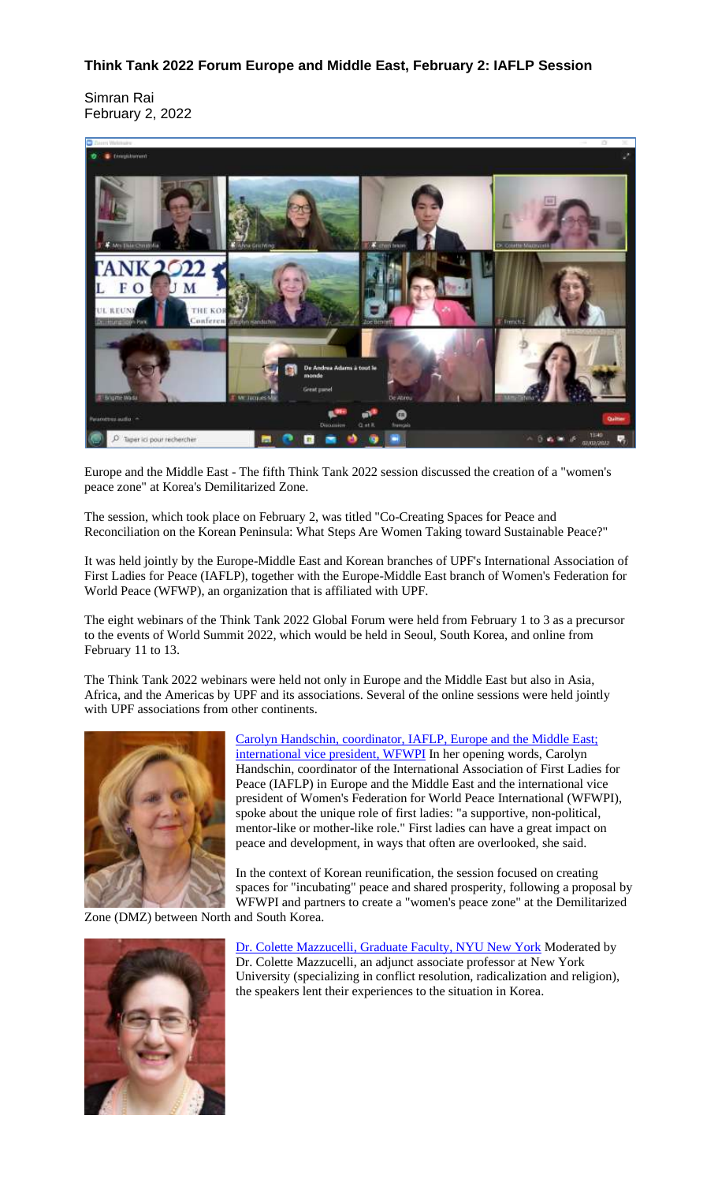## **Think Tank 2022 Forum Europe and Middle East, February 2: IAFLP Session**

Simran Rai February 2, 2022



Europe and the Middle East - The fifth Think Tank 2022 session discussed the creation of a "women's peace zone" at Korea's Demilitarized Zone.

The session, which took place on February 2, was titled "Co-Creating Spaces for Peace and Reconciliation on the Korean Peninsula: What Steps Are Women Taking toward Sustainable Peace?"

It was held jointly by the Europe-Middle East and Korean branches of UPF's International Association of First Ladies for Peace (IAFLP), together with the Europe-Middle East branch of Women's Federation for World Peace (WFWP), an organization that is affiliated with UPF.

The eight webinars of the Think Tank 2022 Global Forum were held from February 1 to 3 as a precursor to the events of World Summit 2022, which would be held in Seoul, South Korea, and online from February 11 to 13.

The Think Tank 2022 webinars were held not only in Europe and the Middle East but also in Asia, Africa, and the Americas by UPF and its associations. Several of the online sessions were held jointly with UPF associations from other continents.



Carolyn Handschin, [coordinator,](https://eume.upf.org/images/bios_large/Carolyn_Handschin-320.jpg) IAFLP, Europe and the Middle East; [international](https://eume.upf.org/images/bios_large/Carolyn_Handschin-320.jpg) vice president, WFWPI In her opening words, Carolyn Handschin, coordinator of the International Association of First Ladies for Peace (IAFLP) in Europe and the Middle East and the international vice president of Women's Federation for World Peace International (WFWPI), spoke about the unique role of first ladies: "a supportive, non-political, mentor-like or mother-like role." First ladies can have a great impact on peace and development, in ways that often are overlooked, she said.

In the context of Korean reunification, the session focused on creating spaces for "incubating" peace and shared prosperity, following a proposal by WFWPI and partners to create a "women's peace zone" at the Demilitarized

Zone (DMZ) between North and South Korea.



Dr. Colette [Mazzucelli,](https://eume.upf.org/images/bios_large/Colette_Mazzucelli-320.jpg) Graduate Faculty, NYU New York Moderated by Dr. Colette Mazzucelli, an adjunct associate professor at New York University (specializing in conflict resolution, radicalization and religion), the speakers lent their experiences to the situation in Korea.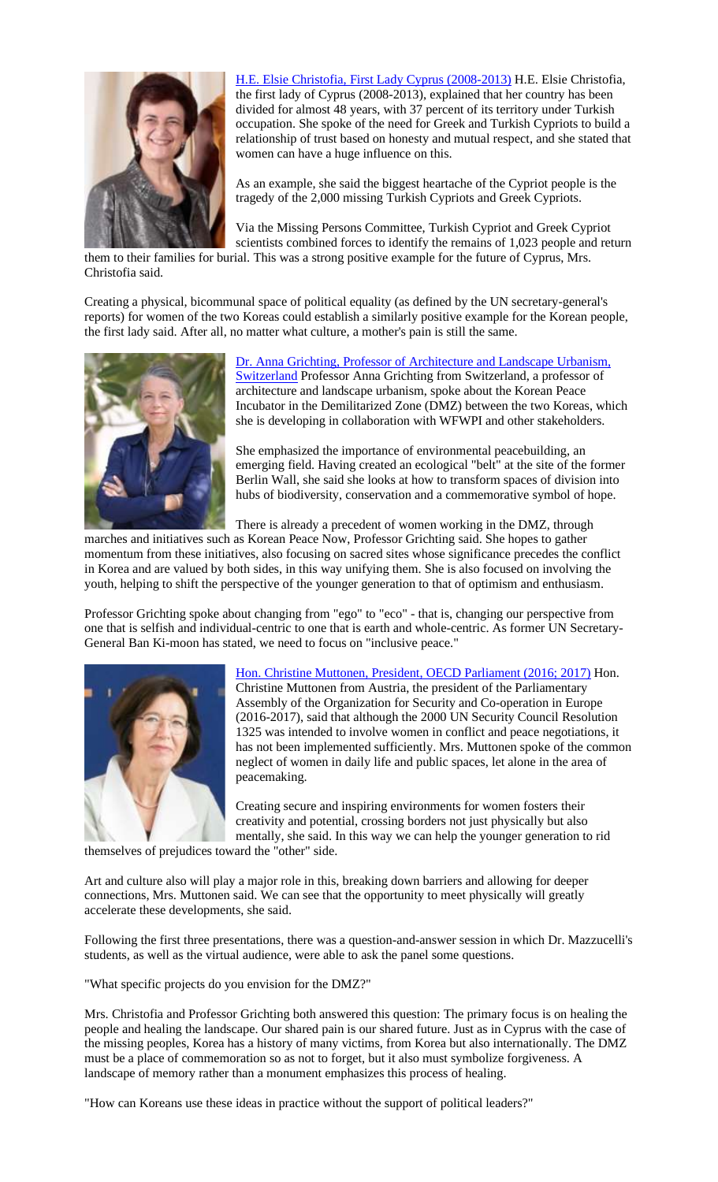

H.E. Elsie Christofia, First Lady Cyprus [\(2008-2013\)](https://eume.upf.org/images/bios_large/Elsie_Christofia-320.jpg) H.E. Elsie Christofia, the first lady of Cyprus (2008-2013), explained that her country has been divided for almost 48 years, with 37 percent of its territory under Turkish occupation. She spoke of the need for Greek and Turkish Cypriots to build a relationship of trust based on honesty and mutual respect, and she stated that women can have a huge influence on this.

As an example, she said the biggest heartache of the Cypriot people is the tragedy of the 2,000 missing Turkish Cypriots and Greek Cypriots.

Via the Missing Persons Committee, Turkish Cypriot and Greek Cypriot scientists combined forces to identify the remains of 1,023 people and return

them to their families for burial. This was a strong positive example for the future of Cyprus, Mrs. Christofia said.

Creating a physical, bicommunal space of political equality (as defined by the UN secretary-general's reports) for women of the two Koreas could establish a similarly positive example for the Korean people, the first lady said. After all, no matter what culture, a mother's pain is still the same.



Dr. Anna Grichting, Professor of [Architecture](https://eume.upf.org/images/bios_large/Anna_Grichting-320.jpg) and Landscape Urbanism, [Switzerland](https://eume.upf.org/images/bios_large/Anna_Grichting-320.jpg) Professor Anna Grichting from Switzerland, a professor of architecture and landscape urbanism, spoke about the Korean Peace Incubator in the Demilitarized Zone (DMZ) between the two Koreas, which she is developing in collaboration with WFWPI and other stakeholders.

She emphasized the importance of environmental peacebuilding, an emerging field. Having created an ecological "belt" at the site of the former Berlin Wall, she said she looks at how to transform spaces of division into hubs of biodiversity, conservation and a commemorative symbol of hope.

There is already a precedent of women working in the DMZ, through

marches and initiatives such as Korean Peace Now, Professor Grichting said. She hopes to gather momentum from these initiatives, also focusing on sacred sites whose significance precedes the conflict in Korea and are valued by both sides, in this way unifying them. She is also focused on involving the youth, helping to shift the perspective of the younger generation to that of optimism and enthusiasm.

Professor Grichting spoke about changing from "ego" to "eco" - that is, changing our perspective from one that is selfish and individual-centric to one that is earth and whole-centric. As former UN Secretary-General Ban Ki-moon has stated, we need to focus on "inclusive peace."



Hon. Christine Muttonen, President, OECD [Parliament](https://eume.upf.org/images/bios_large/Christine_Muttonen-320.jpg) (2016; 2017) Hon. Christine Muttonen from Austria, the president of the Parliamentary Assembly of the Organization for Security and Co-operation in Europe (2016-2017), said that although the 2000 UN Security Council Resolution 1325 was intended to involve women in conflict and peace negotiations, it has not been implemented sufficiently. Mrs. Muttonen spoke of the common neglect of women in daily life and public spaces, let alone in the area of peacemaking.

Creating secure and inspiring environments for women fosters their creativity and potential, crossing borders not just physically but also mentally, she said. In this way we can help the younger generation to rid

themselves of prejudices toward the "other" side.

Art and culture also will play a major role in this, breaking down barriers and allowing for deeper connections, Mrs. Muttonen said. We can see that the opportunity to meet physically will greatly accelerate these developments, she said.

Following the first three presentations, there was a question-and-answer session in which Dr. Mazzucelli's students, as well as the virtual audience, were able to ask the panel some questions.

"What specific projects do you envision for the DMZ?"

Mrs. Christofia and Professor Grichting both answered this question: The primary focus is on healing the people and healing the landscape. Our shared pain is our shared future. Just as in Cyprus with the case of the missing peoples, Korea has a history of many victims, from Korea but also internationally. The DMZ must be a place of commemoration so as not to forget, but it also must symbolize forgiveness. A landscape of memory rather than a monument emphasizes this process of healing.

"How can Koreans use these ideas in practice without the support of political leaders?"